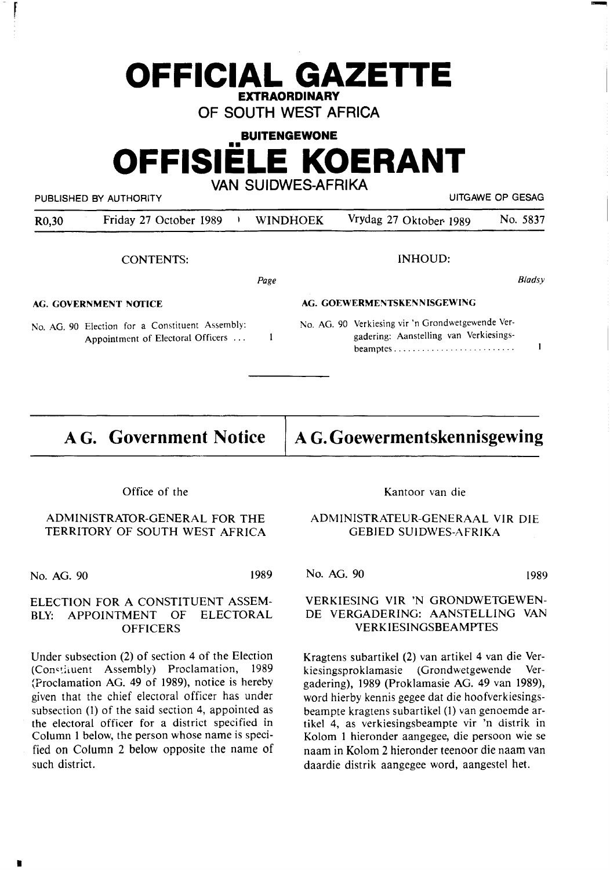# **OFFICIAL GAZETTE EXTRAORDINARY**

**OF SOUTH WEST AFRICA** 

## **BUITENGEWONE**  •• **OFFISIELE KOERANT VAN SUIDWES-AFRIKA**

PUBLISHED BY AUTHORITY **EXAMPLE ASSAULTS AND LOCAL CONTRACT CONTRACT OF GESAG** 

| R <sub>0</sub> ,30                                                                   | Friday 27 October 1989 | <b>WINDHOEK</b>             | Vrydag 27 Oktober 1989                                                                      | No. 5837      |  |
|--------------------------------------------------------------------------------------|------------------------|-----------------------------|---------------------------------------------------------------------------------------------|---------------|--|
| CONTENTS:                                                                            |                        | <b>INHOUD:</b>              |                                                                                             |               |  |
|                                                                                      |                        | Page                        |                                                                                             | <b>Bladsy</b> |  |
| AG. GOVERNMENT NOTICE                                                                |                        | AG. GOEWERMENTSKENNISGEWING |                                                                                             |               |  |
| No. AG. 90 Election for a Constituent Assembly:<br>Appointment of Electoral Officers |                        |                             | No. AG. 90 Verkiesing vir 'n Grondwetgewende Ver-<br>gadering: Aanstelling van Verkiesings- |               |  |
|                                                                                      |                        |                             |                                                                                             |               |  |

## **AG. Government Notice**

**A G. Goewermentskennisgewing** 

Office of the

#### ADMINISTRATOR-GENERAL FOR THE TERRITORY OF SOUTH WEST AFRICA

No. AG. 90 1989

I

#### ELECTION FOR A CONSTITUENT ASSEM-BLY: APPOINTMENT OF ELECTORAL **OFFICERS**

Under subsection (2) of section 4 of the Election (Constituent Assembly) Proclamation, 1989 (Proclamation AG. 49 of 1989), notice is hereby given that the chief electoral officer has under subsection (1) of the said section 4, appointed as the electoral officer **for** a district specified **in**  Column I below, the person whose name is specified on Column 2 below opposite the name of such district.

Kantoor van die

#### ADMINISTRATEUR-GENERAAL VIR DIE GEBIED SUIDWES-AFRIKA

No. **AG.** 90 1989

### VERKIESING VIR **'N** GRONDWETGEWEN-DE VERGADERING: AANSTELLING VAN VERKIESINGSBEAMPTES

Kragtens subartikel (2) van artikel 4 van die Verkiesingsproklamasie (Grondwetgewende Vergadering), 1989 (Proklamasie AG. 49 van 1989), word hierby kennis gegee dat die hoofverkiesingsbeampte kragtens subartikel (1) van genoemde artikel 4, as verkiesingsbeampte vir 'n distrik in Kolom I hieronder aangegee, die persoon wie se naam in Kolom 2 hieronder teenoor die naam van daardie distrik aangegee word, aangestel het.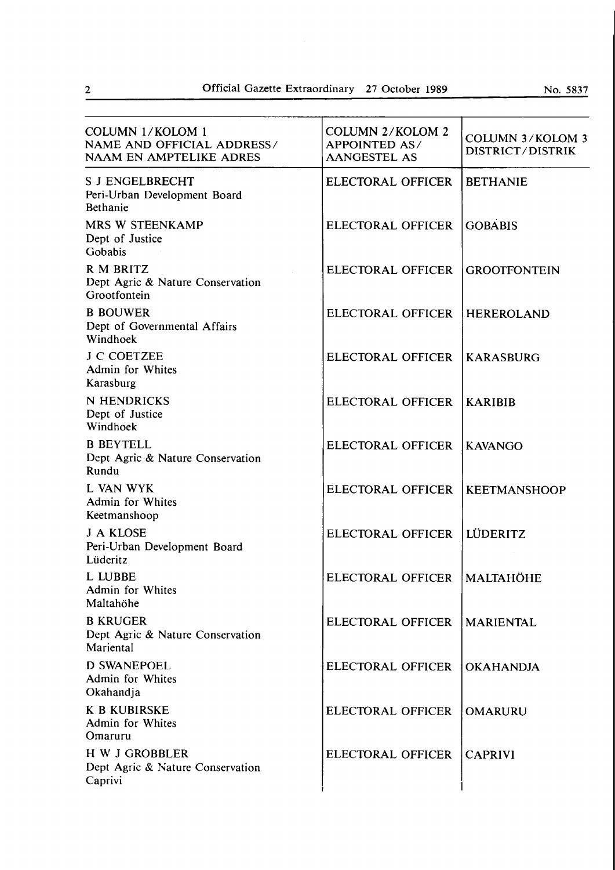| <b>COLUMN 1/KOLOM 1</b><br>NAME AND OFFICIAL ADDRESS/<br>NAAM EN AMPTELIKE ADRES | <b>COLUMN 2/KOLOM 2</b><br><b>APPOINTED AS/</b><br><b>AANGESTEL AS</b> | <b>COLUMN 3/KOLOM 3</b><br>DISTRICT/DISTRIK |
|----------------------------------------------------------------------------------|------------------------------------------------------------------------|---------------------------------------------|
| S J ENGELBRECHT<br>Peri-Urban Development Board<br>Bethanie                      | ELECTORAL OFFICER                                                      | <b>BETHANIE</b>                             |
| <b>MRS W STEENKAMP</b><br>Dept of Justice<br>Gobabis                             | <b>ELECTORAL OFFICER</b>                                               | <b>GOBABIS</b>                              |
| R M BRITZ<br>Dept Agric & Nature Conservation<br>Grootfontein                    | <b>ELECTORAL OFFICER</b>                                               | <b>GROOTFONTEIN</b>                         |
| <b>B BOUWER</b><br>Dept of Governmental Affairs<br>Windhoek                      | <b>ELECTORAL OFFICER</b>                                               | HEREROLAND                                  |
| <b>J C COETZEE</b><br>Admin for Whites<br>Karasburg                              | <b>ELECTORAL OFFICER</b>                                               | <b>KARASBURG</b>                            |
| N HENDRICKS<br>Dept of Justice<br>Windhoek                                       | <b>ELECTORAL OFFICER</b>                                               | <b>KARIBIB</b>                              |
| <b>B BEYTELL</b><br>Dept Agric & Nature Conservation<br>Rundu                    | <b>ELECTORAL OFFICER</b>                                               | <b>KAVANGO</b>                              |
| L VAN WYK<br>Admin for Whites<br>Keetmanshoop                                    | <b>ELECTORAL OFFICER</b>                                               | <b>KEETMANSHOOP</b>                         |
| <b>J A KLOSE</b><br>Peri-Urban Development Board<br>Lüderitz                     | ELECTORAL OFFICER                                                      | LÜDERITZ                                    |
| L LUBBE<br>Admin for Whites<br>Maltahöhe                                         | ELECTORAL OFFICER   MALTAHÖHE                                          |                                             |
| <b>B KRUGER</b><br>Dept Agric & Nature Conservation<br>Mariental                 | <b>ELECTORAL OFFICER</b>                                               | <b>MARIENTAL</b>                            |
| D SWANEPOEL<br>Admin for Whites<br>Okahandja                                     | <b>ELECTORAL OFFICER</b>                                               | <b>OKAHANDJA</b>                            |
| <b>K B KUBIRSKE</b><br>Admin for Whites<br>Omaruru                               | <b>ELECTORAL OFFICER</b>                                               | <b>OMARURU</b>                              |
| H W J GROBBLER<br>Dept Agric & Nature Conservation<br>Caprivi                    | <b>ELECTORAL OFFICER</b>                                               | <b>CAPRIVI</b>                              |